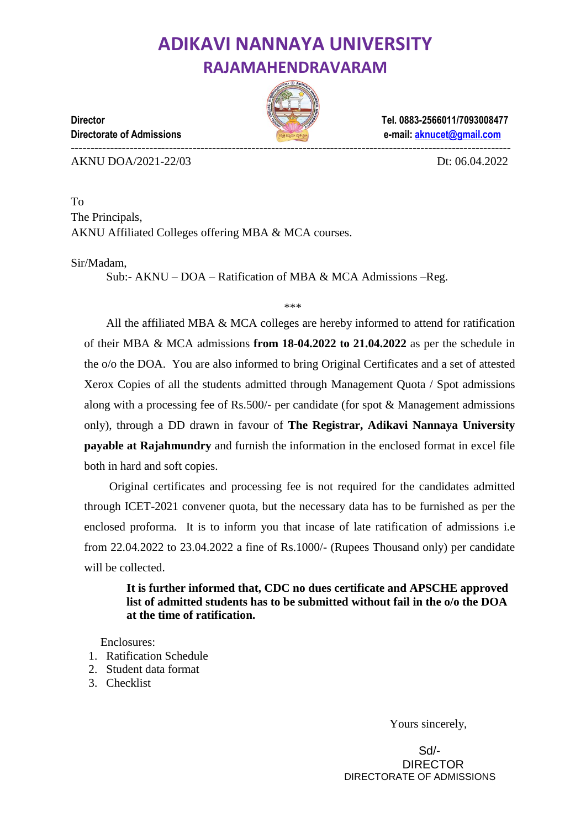# **ADIKAVI NANNAYA UNIVERSITY RAJAMAHENDRAVARAM**



**Director Tel. 0883-2566011/7093008477 Directorate of Admissions e-mail[: aknucet@gmail.com](mailto:aknucet@gmail.com)**

----------------------------------------------------------------------------------------------------------------

AKNU DOA/2021-22/03 Dt: 06.04.2022

To The Principals, AKNU Affiliated Colleges offering MBA & MCA courses.

Sir/Madam,

Sub:- AKNU – DOA – Ratification of MBA & MCA Admissions –Reg.

\*\*\*

All the affiliated MBA & MCA colleges are hereby informed to attend for ratification of their MBA & MCA admissions **from 18-04.2022 to 21.04.2022** as per the schedule in the o/o the DOA. You are also informed to bring Original Certificates and a set of attested Xerox Copies of all the students admitted through Management Quota / Spot admissions along with a processing fee of Rs.500/- per candidate (for spot & Management admissions only), through a DD drawn in favour of **The Registrar, Adikavi Nannaya University payable at Rajahmundry** and furnish the information in the enclosed format in excel file both in hard and soft copies.

Original certificates and processing fee is not required for the candidates admitted through ICET-2021 convener quota, but the necessary data has to be furnished as per the enclosed proforma. It is to inform you that incase of late ratification of admissions i.e from 22.04.2022 to 23.04.2022 a fine of Rs.1000/- (Rupees Thousand only) per candidate will be collected.

**It is further informed that, CDC no dues certificate and APSCHE approved list of admitted students has to be submitted without fail in the o/o the DOA at the time of ratification.**

Enclosures:

- 1. Ratification Schedule
- 2. Student data format
- 3. Checklist

Yours sincerely,

 Sd/- DIRECTOR DIRECTORATE OF ADMISSIONS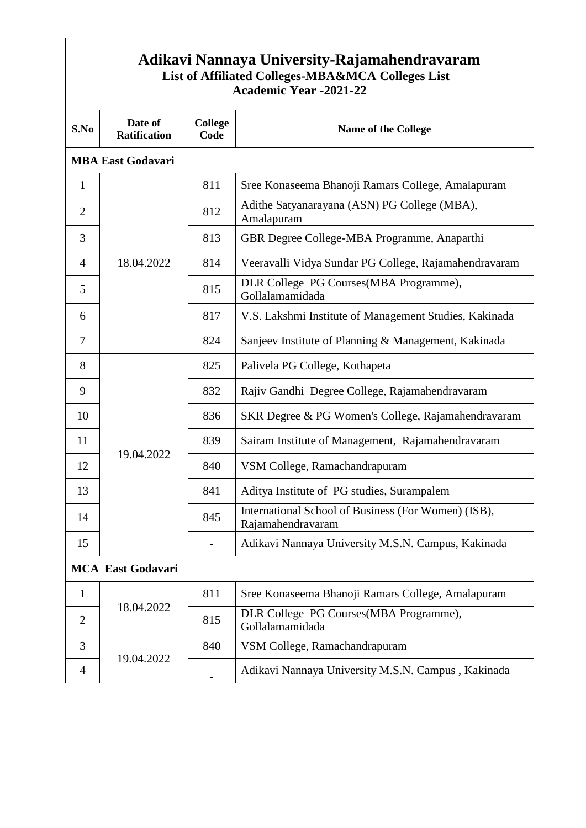### **Adikavi Nannaya University-Rajamahendravaram List of Affiliated Colleges-MBA&MCA Colleges List Academic Year -2021-22**

| S.No           | <b>College</b><br>Date of<br><b>Ratification</b><br>Code |                                                                                 | <b>Name of the College</b>                                 |  |  |  |  |  |
|----------------|----------------------------------------------------------|---------------------------------------------------------------------------------|------------------------------------------------------------|--|--|--|--|--|
|                | <b>MBA East Godavari</b>                                 |                                                                                 |                                                            |  |  |  |  |  |
| $\mathbf{1}$   |                                                          | 811                                                                             | Sree Konaseema Bhanoji Ramars College, Amalapuram          |  |  |  |  |  |
| $\overline{2}$ |                                                          | 812                                                                             | Adithe Satyanarayana (ASN) PG College (MBA),<br>Amalapuram |  |  |  |  |  |
| 3              | 18.04.2022                                               | 813                                                                             | GBR Degree College-MBA Programme, Anaparthi                |  |  |  |  |  |
| 4              |                                                          | 814                                                                             | Veeravalli Vidya Sundar PG College, Rajamahendravaram      |  |  |  |  |  |
| 5              |                                                          | 815                                                                             | DLR College PG Courses(MBA Programme),<br>Gollalamamidada  |  |  |  |  |  |
| 6              |                                                          | 817<br>V.S. Lakshmi Institute of Management Studies, Kakinada                   |                                                            |  |  |  |  |  |
| 7              |                                                          | 824                                                                             | Sanjeev Institute of Planning & Management, Kakinada       |  |  |  |  |  |
| 8              |                                                          | 825                                                                             | Palivela PG College, Kothapeta                             |  |  |  |  |  |
| 9              |                                                          | 832                                                                             | Rajiv Gandhi Degree College, Rajamahendravaram             |  |  |  |  |  |
| 10             |                                                          | 836                                                                             | SKR Degree & PG Women's College, Rajamahendravaram         |  |  |  |  |  |
| 11             |                                                          | 839                                                                             | Sairam Institute of Management, Rajamahendravaram          |  |  |  |  |  |
| 12             | 19.04.2022                                               | 840                                                                             | VSM College, Ramachandrapuram                              |  |  |  |  |  |
| 13             |                                                          | 841                                                                             | Aditya Institute of PG studies, Surampalem                 |  |  |  |  |  |
| 14             |                                                          | International School of Business (For Women) (ISB),<br>845<br>Rajamahendravaram |                                                            |  |  |  |  |  |
| 15             |                                                          |                                                                                 | Adikavi Nannaya University M.S.N. Campus, Kakinada         |  |  |  |  |  |
|                | <b>MCA East Godavari</b>                                 |                                                                                 |                                                            |  |  |  |  |  |
| $\mathbf{1}$   |                                                          | 811                                                                             | Sree Konaseema Bhanoji Ramars College, Amalapuram          |  |  |  |  |  |
| $\overline{2}$ | 18.04.2022                                               | 815                                                                             | DLR College PG Courses(MBA Programme),<br>Gollalamamidada  |  |  |  |  |  |
| 3              |                                                          | 840                                                                             | VSM College, Ramachandrapuram                              |  |  |  |  |  |
| 4              | 19.04.2022                                               |                                                                                 | Adikavi Nannaya University M.S.N. Campus, Kakinada         |  |  |  |  |  |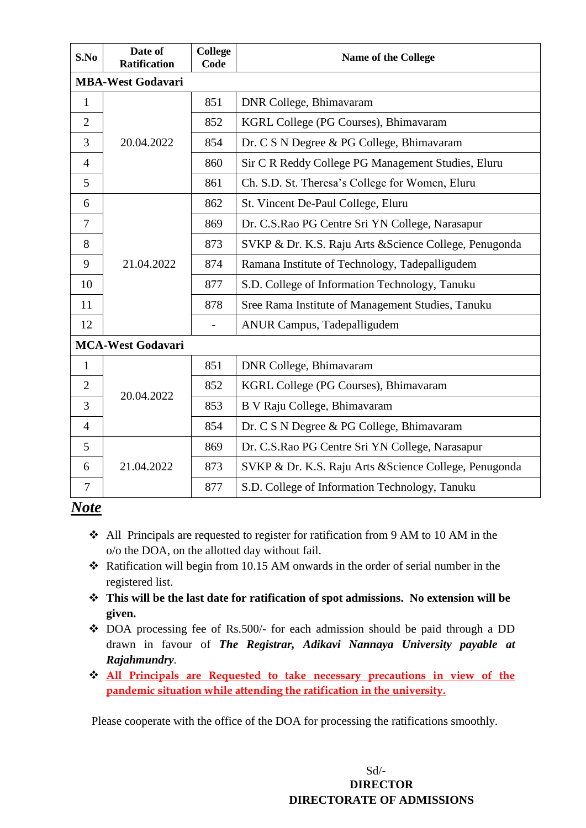| S.No           | Date of<br><b>Ratification</b> | <b>College</b><br>Code   | <b>Name of the College</b>                             |  |  |  |  |  |
|----------------|--------------------------------|--------------------------|--------------------------------------------------------|--|--|--|--|--|
|                | <b>MBA-West Godavari</b>       |                          |                                                        |  |  |  |  |  |
| $\mathbf{1}$   |                                | 851                      | DNR College, Bhimavaram                                |  |  |  |  |  |
| $\overline{2}$ |                                | 852                      | KGRL College (PG Courses), Bhimavaram                  |  |  |  |  |  |
| 3              | 20.04.2022                     | 854                      | Dr. C S N Degree & PG College, Bhimavaram              |  |  |  |  |  |
| 4              |                                | 860                      | Sir C R Reddy College PG Management Studies, Eluru     |  |  |  |  |  |
| 5              |                                | 861                      | Ch. S.D. St. Theresa's College for Women, Eluru        |  |  |  |  |  |
| 6              |                                | 862                      | St. Vincent De-Paul College, Eluru                     |  |  |  |  |  |
| 7              |                                | 869                      | Dr. C.S.Rao PG Centre Sri YN College, Narasapur        |  |  |  |  |  |
| 8              | 21.04.2022                     | 873                      | SVKP & Dr. K.S. Raju Arts & Science College, Penugonda |  |  |  |  |  |
| 9              |                                | 874                      | Ramana Institute of Technology, Tadepalligudem         |  |  |  |  |  |
| 10             |                                | 877                      | S.D. College of Information Technology, Tanuku         |  |  |  |  |  |
| 11             |                                | 878                      | Sree Rama Institute of Management Studies, Tanuku      |  |  |  |  |  |
| 12             |                                | $\overline{\phantom{a}}$ | <b>ANUR Campus, Tadepalligudem</b>                     |  |  |  |  |  |
|                | <b>MCA-West Godavari</b>       |                          |                                                        |  |  |  |  |  |
| $\mathbf{1}$   |                                | 851                      | DNR College, Bhimavaram                                |  |  |  |  |  |
| $\overline{2}$ | 20.04.2022                     | 852                      | KGRL College (PG Courses), Bhimavaram                  |  |  |  |  |  |
| 3              |                                | 853                      | B V Raju College, Bhimavaram                           |  |  |  |  |  |
| $\overline{4}$ |                                | 854                      | Dr. C S N Degree & PG College, Bhimavaram              |  |  |  |  |  |
| 5              |                                | 869                      | Dr. C.S.Rao PG Centre Sri YN College, Narasapur        |  |  |  |  |  |
| 6              | 21.04.2022                     | 873                      | SVKP & Dr. K.S. Raju Arts & Science College, Penugonda |  |  |  |  |  |
| 7              |                                | 877                      | S.D. College of Information Technology, Tanuku         |  |  |  |  |  |

## *Note*

- All Principals are requested to register for ratification from 9 AM to 10 AM in the o/o the DOA, on the allotted day without fail.
- Ratification will begin from 10.15 AM onwards in the order of serial number in the registered list.
- **This will be the last date for ratification of spot admissions. No extension will be given.**
- DOA processing fee of Rs.500/- for each admission should be paid through a DD drawn in favour of *The Registrar, Adikavi Nannaya University payable at Rajahmundry.*
- **All Principals are Requested to take necessary precautions in view of the pandemic situation while attending the ratification in the university.**

Please cooperate with the office of the DOA for processing the ratifications smoothly.

 Sd/- **DIRECTOR DIRECTORATE OF ADMISSIONS**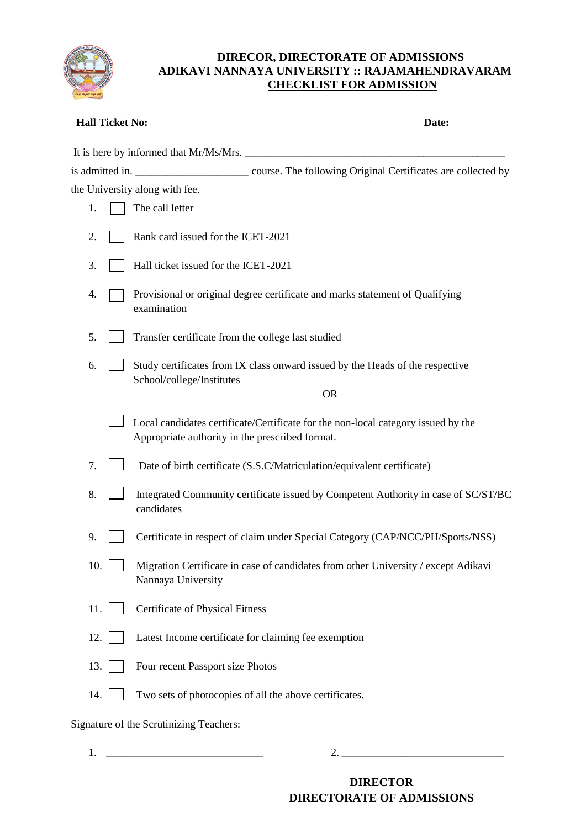

#### **DIRECOR, DIRECTORATE OF ADMISSIONS ADIKAVI NANNAYA UNIVERSITY :: RAJAMAHENDRAVARAM CHECKLIST FOR ADMISSION**

| <b>Hall Ticket No:</b> | Date:                                                                                                                                |
|------------------------|--------------------------------------------------------------------------------------------------------------------------------------|
|                        | It is here by informed that Mr/Ms/Mrs.                                                                                               |
|                        |                                                                                                                                      |
|                        | the University along with fee.                                                                                                       |
| 1.                     | The call letter                                                                                                                      |
| 2.                     | Rank card issued for the ICET-2021                                                                                                   |
| 3.                     | Hall ticket issued for the ICET-2021                                                                                                 |
| 4.                     | Provisional or original degree certificate and marks statement of Qualifying<br>examination                                          |
| 5.                     | Transfer certificate from the college last studied                                                                                   |
| 6.                     | Study certificates from IX class onward issued by the Heads of the respective<br>School/college/Institutes<br><b>OR</b>              |
|                        |                                                                                                                                      |
|                        | Local candidates certificate/Certificate for the non-local category issued by the<br>Appropriate authority in the prescribed format. |
| 7.                     | Date of birth certificate (S.S.C/Matriculation/equivalent certificate)                                                               |
| 8.                     | Integrated Community certificate issued by Competent Authority in case of SC/ST/BC<br>candidates                                     |
| 9.                     | Certificate in respect of claim under Special Category (CAP/NCC/PH/Sports/NSS)                                                       |
| 10.                    | Migration Certificate in case of candidates from other University / except Adikavi<br>Nannaya University                             |
| 11.                    | <b>Certificate of Physical Fitness</b>                                                                                               |
| 12.                    | Latest Income certificate for claiming fee exemption                                                                                 |
| 13.                    | Four recent Passport size Photos                                                                                                     |
| 14.                    | Two sets of photocopies of all the above certificates.                                                                               |
|                        | Signature of the Scrutinizing Teachers:                                                                                              |

1. \_\_\_\_\_\_\_\_\_\_\_\_\_\_\_\_\_\_\_\_\_\_\_\_\_\_\_\_\_ 2. \_\_\_\_\_\_\_\_\_\_\_\_\_\_\_\_\_\_\_\_\_\_\_\_\_\_\_\_\_\_